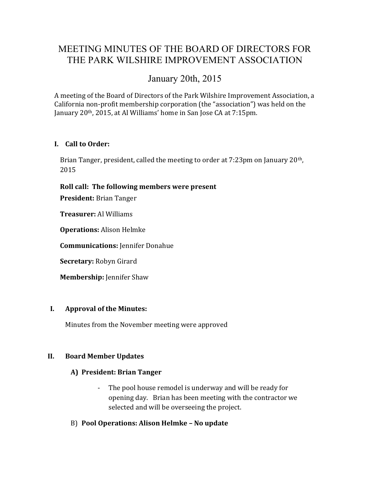# MEETING MINUTES OF THE BOARD OF DIRECTORS FOR THE PARK WILSHIRE IMPROVEMENT ASSOCIATION

## January 20th, 2015

A meeting of the Board of Directors of the Park Wilshire Improvement Association, a California non-profit membership corporation (the "association") was held on the January 20th, 2015, at Al Williams' home in San Jose CA at 7:15pm.

### I. Call to Order:

Brian Tanger, president, called the meeting to order at 7:23pm on January 20th, 2015

### Roll call: The following members were present

President: Brian Tanger

Treasurer: Al Williams

Operations: Alison Helmke

Communications: Jennifer Donahue

Secretary: Robyn Girard

Membership: Jennifer Shaw

#### I. Approval of the Minutes:

Minutes from the November meeting were approved

#### II. Board Member Updates

#### A) President: Brian Tanger

- The pool house remodel is underway and will be ready for opening day. Brian has been meeting with the contractor we selected and will be overseeing the project.
- B) Pool Operations: Alison Helmke No update